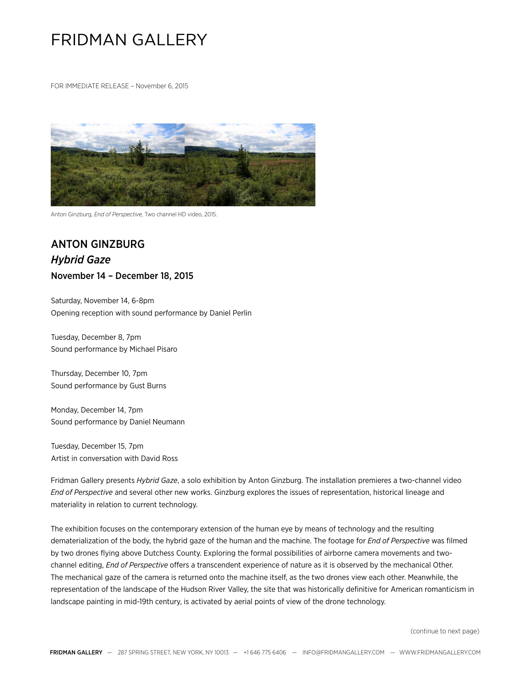## FRIDMAN GALLERY

FOR IMMEDIATE RELEASE – November 6, 2015



Anton Ginzburg, *End of Perspective,* Two channel HD video, 2015.

## ANTON GINZBURG *Hybrid Gaze* November 14 – December 18, 2015

Saturday, November 14, 6-8pm Opening reception with sound performance by Daniel Perlin

Tuesday, December 8, 7pm Sound performance by Michael Pisaro

Thursday, December 10, 7pm Sound performance by Gust Burns

Monday, December 14, 7pm Sound performance by Daniel Neumann

Tuesday, December 15, 7pm Artist in conversation with David Ross

Fridman Gallery presents *Hybrid Gaze*, a solo exhibition by Anton Ginzburg. The installation premieres a two-channel video *End of Perspective* and several other new works. Ginzburg explores the issues of representation, historical lineage and materiality in relation to current technology.

The exhibition focuses on the contemporary extension of the human eye by means of technology and the resulting dematerialization of the body, the hybrid gaze of the human and the machine. The footage for *End of Perspective* was filmed by two drones flying above Dutchess County. Exploring the formal possibilities of airborne camera movements and twochannel editing, *End of Perspective* offers a transcendent experience of nature as it is observed by the mechanical Other. The mechanical gaze of the camera is returned onto the machine itself, as the two drones view each other. Meanwhile, the representation of the landscape of the Hudson River Valley, the site that was historically definitive for American romanticism in landscape painting in mid-19th century, is activated by aerial points of view of the drone technology.

(continue to next page)